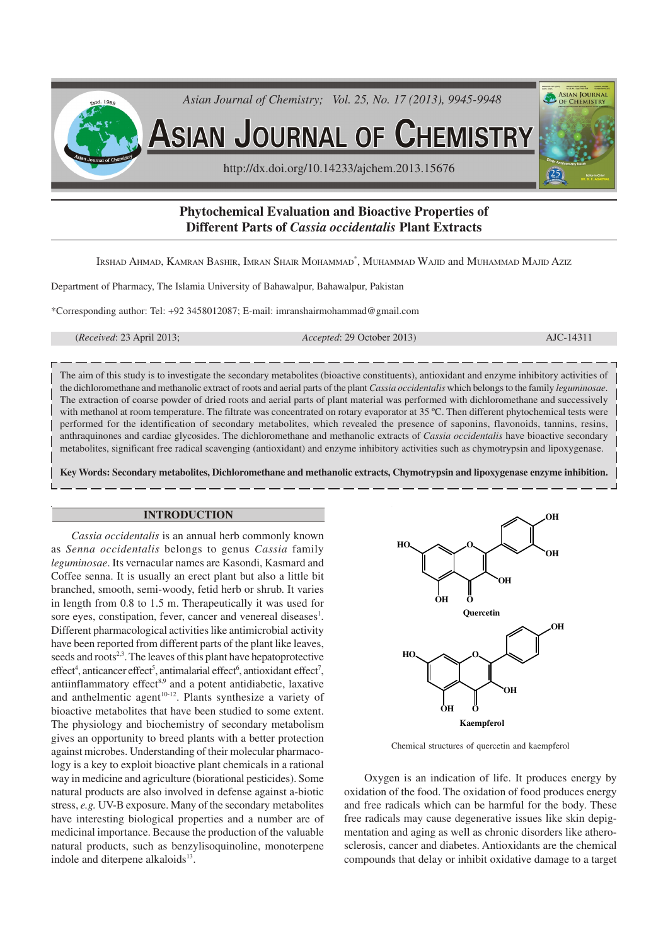

# **Phytochemical Evaluation and Bioactive Properties of Different Parts of** *Cassia occidentalis* **Plant Extracts**

Irshad Ahmad, Kamran Bashir, Imran Shair Mohammad\*, Muhammad Wajid and Muhammad Majid Aziz

Department of Pharmacy, The Islamia University of Bahawalpur, Bahawalpur, Pakistan

\*Corresponding author: Tel: +92 3458012087; E-mail: imranshairmohammad@gmail.com

(*Received*: 23 April 2013; *Accepted*: 29 October 2013) AJC-14311

The aim of this study is to investigate the secondary metabolites (bioactive constituents), antioxidant and enzyme inhibitory activities of the dichloromethane and methanolic extract of roots and aerial parts of the plant *Cassia occidentalis* which belongs to the family *leguminosae*. The extraction of coarse powder of dried roots and aerial parts of plant material was performed with dichloromethane and successively with methanol at room temperature. The filtrate was concentrated on rotary evaporator at 35 °C. Then different phytochemical tests were performed for the identification of secondary metabolites, which revealed the presence of saponins, flavonoids, tannins, resins, anthraquinones and cardiac glycosides. The dichloromethane and methanolic extracts of *Cassia occidentalis* have bioactive secondary metabolites, significant free radical scavenging (antioxidant) and enzyme inhibitory activities such as chymotrypsin and lipoxygenase.

**Key Words: Secondary metabolites, Dichloromethane and methanolic extracts, Chymotrypsin and lipoxygenase enzyme inhibition.**

## **INTRODUCTION**

*Cassia occidentalis* is an annual herb commonly known as *Senna occidentalis* belongs to genus *Cassia* family *leguminosae*. Its vernacular names are Kasondi, Kasmard and Coffee senna. It is usually an erect plant but also a little bit branched, smooth, semi-woody, fetid herb or shrub. It varies in length from 0.8 to 1.5 m. Therapeutically it was used for sore eyes, constipation, fever, cancer and venereal diseases<sup>1</sup>. Different pharmacological activities like antimicrobial activity have been reported from different parts of the plant like leaves, seeds and roots<sup>2,3</sup>. The leaves of this plant have hepatoprotective  $effect<sup>4</sup>$ , anticancer effect<sup>5</sup>, antimalarial effect<sup>6</sup>, antioxidant effect<sup>7</sup>, antiinflammatory effect $8.9$  and a potent antidiabetic, laxative and anthelmentic agent<sup>10-12</sup>. Plants synthesize a variety of bioactive metabolites that have been studied to some extent. The physiology and biochemistry of secondary metabolism gives an opportunity to breed plants with a better protection against microbes. Understanding of their molecular pharmacology is a key to exploit bioactive plant chemicals in a rational way in medicine and agriculture (biorational pesticides). Some natural products are also involved in defense against a-biotic stress, *e.g.* UV-B exposure. Many of the secondary metabolites have interesting biological properties and a number are of medicinal importance. Because the production of the valuable natural products, such as benzylisoquinoline, monoterpene indole and diterpene alkaloids<sup>13</sup>.



Chemical structures of quercetin and kaempferol

Oxygen is an indication of life. It produces energy by oxidation of the food. The oxidation of food produces energy and free radicals which can be harmful for the body. These free radicals may cause degenerative issues like skin depigmentation and aging as well as chronic disorders like atherosclerosis, cancer and diabetes. Antioxidants are the chemical compounds that delay or inhibit oxidative damage to a target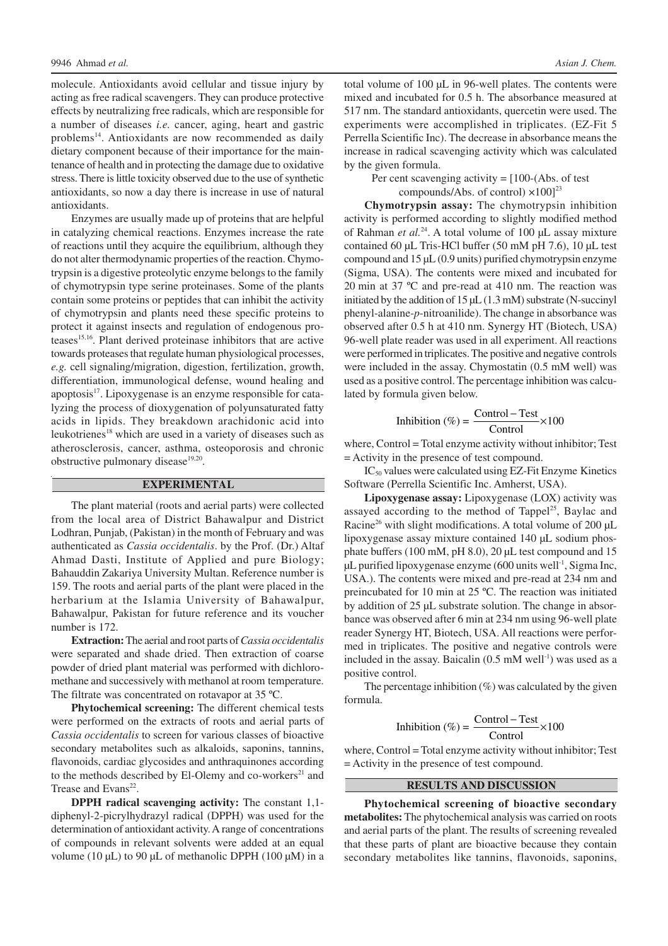molecule. Antioxidants avoid cellular and tissue injury by acting as free radical scavengers. They can produce protective effects by neutralizing free radicals, which are responsible for a number of diseases *i.e.* cancer, aging, heart and gastric problems<sup>14</sup>. Antioxidants are now recommended as daily dietary component because of their importance for the maintenance of health and in protecting the damage due to oxidative stress. There is little toxicity observed due to the use of synthetic antioxidants, so now a day there is increase in use of natural antioxidants.

Enzymes are usually made up of proteins that are helpful in catalyzing chemical reactions. Enzymes increase the rate of reactions until they acquire the equilibrium, although they do not alter thermodynamic properties of the reaction. Chymotrypsin is a digestive proteolytic enzyme belongs to the family of chymotrypsin type serine proteinases. Some of the plants contain some proteins or peptides that can inhibit the activity of chymotrypsin and plants need these specific proteins to protect it against insects and regulation of endogenous proteases15,16. Plant derived proteinase inhibitors that are active towards proteases that regulate human physiological processes, *e.g.* cell signaling/migration, digestion, fertilization, growth, differentiation, immunological defense, wound healing and apoptosis<sup>17</sup>. Lipoxygenase is an enzyme responsible for catalyzing the process of dioxygenation of polyunsaturated fatty acids in lipids. They breakdown arachidonic acid into leukotrienes<sup>18</sup> which are used in a variety of diseases such as atherosclerosis, cancer, asthma, osteoporosis and chronic obstructive pulmonary disease<sup>19,20</sup>.

### **EXPERIMENTAL**

The plant material (roots and aerial parts) were collected from the local area of District Bahawalpur and District Lodhran, Punjab, (Pakistan) in the month of February and was authenticated as *Cassia occidentalis*. by the Prof. (Dr.) Altaf Ahmad Dasti, Institute of Applied and pure Biology; Bahauddin Zakariya University Multan. Reference number is 159. The roots and aerial parts of the plant were placed in the herbarium at the Islamia University of Bahawalpur, Bahawalpur, Pakistan for future reference and its voucher number is 172.

**Extraction:** The aerial and root parts of *Cassia occidentalis* were separated and shade dried. Then extraction of coarse powder of dried plant material was performed with dichloromethane and successively with methanol at room temperature. The filtrate was concentrated on rotavapor at 35 ºC.

**Phytochemical screening:** The different chemical tests were performed on the extracts of roots and aerial parts of *Cassia occidentalis* to screen for various classes of bioactive secondary metabolites such as alkaloids, saponins, tannins, flavonoids, cardiac glycosides and anthraquinones according to the methods described by El-Olemy and co-workers<sup>21</sup> and Trease and Evans<sup>22</sup>.

**DPPH radical scavenging activity:** The constant 1,1 diphenyl-2-picrylhydrazyl radical (DPPH) was used for the determination of antioxidant activity. A range of concentrations of compounds in relevant solvents were added at an equal volume (10  $\mu$ L) to 90  $\mu$ L of methanolic DPPH (100  $\mu$ M) in a total volume of 100 µL in 96-well plates. The contents were mixed and incubated for 0.5 h. The absorbance measured at 517 nm. The standard antioxidants, quercetin were used. The experiments were accomplished in triplicates. (EZ-Fit 5 Perrella Scientific Inc). The decrease in absorbance means the increase in radical scavenging activity which was calculated by the given formula.

Per cent scavenging activity  $=$  [100-(Abs. of test compounds/Abs. of control)  $\times$ 100]<sup>23</sup>

**Chymotrypsin assay:** The chymotrypsin inhibition activity is performed according to slightly modified method of Rahman *et al.*<sup>24</sup>. A total volume of 100 µL assay mixture contained 60 µL Tris-HCl buffer (50 mM pH 7.6), 10 µL test compound and 15 µL (0.9 units) purified chymotrypsin enzyme (Sigma, USA). The contents were mixed and incubated for 20 min at 37 ºC and pre-read at 410 nm. The reaction was initiated by the addition of 15 µL (1.3 mM) substrate (N-succinyl phenyl-alanine-*p*-nitroanilide). The change in absorbance was observed after 0.5 h at 410 nm. Synergy HT (Biotech, USA) 96-well plate reader was used in all experiment. All reactions were performed in triplicates. The positive and negative controls were included in the assay. Chymostatin (0.5 mM well) was used as a positive control. The percentage inhibition was calculated by formula given below.

$$
Inhibition (%) = \frac{Control - Test}{Control} \times 100
$$

where, Control = Total enzyme activity without inhibitor; Test = Activity in the presence of test compound.

IC<sub>50</sub> values were calculated using EZ-Fit Enzyme Kinetics Software (Perrella Scientific Inc. Amherst, USA).

**Lipoxygenase assay:** Lipoxygenase (LOX) activity was assayed according to the method of Tappel<sup>25</sup>, Baylac and Racine<sup>26</sup> with slight modifications. A total volume of 200  $\mu$ L lipoxygenase assay mixture contained 140 µL sodium phosphate buffers  $(100 \text{ mM}, \text{pH } 8.0)$ , 20 uL test compound and 15 µL purified lipoxygenase enzyme (600 units well-1 , Sigma Inc, USA.). The contents were mixed and pre-read at 234 nm and preincubated for 10 min at 25 ºC. The reaction was initiated by addition of 25 µL substrate solution. The change in absorbance was observed after 6 min at 234 nm using 96-well plate reader Synergy HT, Biotech, USA. All reactions were performed in triplicates. The positive and negative controls were included in the assay. Baicalin  $(0.5 \text{ mM well}^{-1})$  was used as a positive control.

The percentage inhibition  $(\%)$  was calculated by the given formula.

$$
Inhibition (\%) = \frac{Control - Test}{Control} \times 100
$$

where, Control = Total enzyme activity without inhibitor; Test = Activity in the presence of test compound.

### **RESULTS AND DISCUSSION**

**Phytochemical screening of bioactive secondary metabolites:** The phytochemical analysis was carried on roots and aerial parts of the plant. The results of screening revealed that these parts of plant are bioactive because they contain secondary metabolites like tannins, flavonoids, saponins,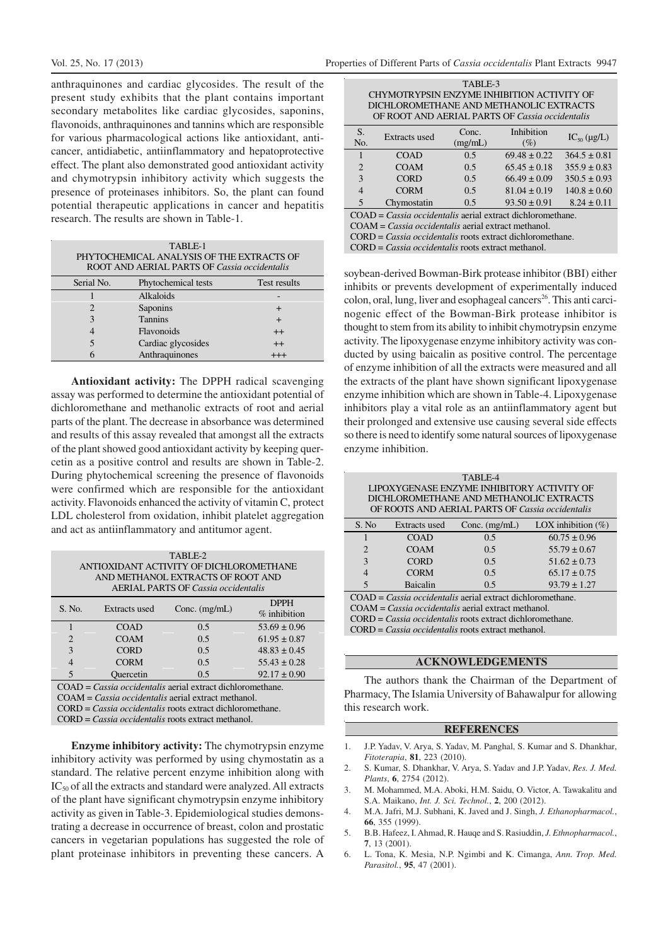anthraquinones and cardiac glycosides. The result of the present study exhibits that the plant contains important secondary metabolites like cardiac glycosides, saponins, flavonoids, anthraquinones and tannins which are responsible for various pharmacological actions like antioxidant, anticancer, antidiabetic, antiinflammatory and hepatoprotective effect. The plant also demonstrated good antioxidant activity and chymotrypsin inhibitory activity which suggests the presence of proteinases inhibitors. So, the plant can found potential therapeutic applications in cancer and hepatitis research. The results are shown in Table-1.

| TABLE-1<br>PHYTOCHEMICAL ANALYSIS OF THE EXTRACTS OF<br>ROOT AND AERIAL PARTS OF Cassia occidentalis |                     |              |  |
|------------------------------------------------------------------------------------------------------|---------------------|--------------|--|
| Serial No.                                                                                           | Phytochemical tests | Test results |  |
|                                                                                                      | Alkaloids           |              |  |
|                                                                                                      | Saponins            | ┿            |  |
|                                                                                                      | <b>Tannins</b>      | $^{+}$       |  |
|                                                                                                      | Flavonoids          | $^{++}$      |  |
|                                                                                                      | Cardiac glycosides  | $^{++}$      |  |
|                                                                                                      | Anthraquinones      | $^{+++}$     |  |

**Antioxidant activity:** The DPPH radical scavenging assay was performed to determine the antioxidant potential of dichloromethane and methanolic extracts of root and aerial parts of the plant. The decrease in absorbance was determined and results of this assay revealed that amongst all the extracts of the plant showed good antioxidant activity by keeping quercetin as a positive control and results are shown in Table-2. During phytochemical screening the presence of flavonoids were confirmed which are responsible for the antioxidant activity. Flavonoids enhanced the activity of vitamin C, protect LDL cholesterol from oxidation, inhibit platelet aggregation and act as antiinflammatory and antitumor agent.

| TABLE-2                                                      |                                   |                 |                  |  |  |  |
|--------------------------------------------------------------|-----------------------------------|-----------------|------------------|--|--|--|
| ANTIOXIDANT ACTIVITY OF DICHLOROMETHANE                      |                                   |                 |                  |  |  |  |
|                                                              | AND METHANOL EXTRACTS OF ROOT AND |                 |                  |  |  |  |
| <b>AERIAL PARTS OF Cassia occidentalis</b>                   |                                   |                 |                  |  |  |  |
|                                                              |                                   |                 |                  |  |  |  |
| S. No.                                                       | Extracts used                     | Conc. $(mg/mL)$ | <b>DPPH</b>      |  |  |  |
|                                                              |                                   |                 | $%$ inhibition   |  |  |  |
|                                                              | <b>COAD</b>                       | 0.5             | $53.69 \pm 0.96$ |  |  |  |
| $\overline{2}$                                               | <b>COAM</b>                       | 0.5             | $61.95 \pm 0.87$ |  |  |  |
| $\mathbf{3}$                                                 | <b>CORD</b>                       | 0.5             | $48.83 \pm 0.45$ |  |  |  |
| 4                                                            | <b>CORM</b>                       | 0.5             | $55.43 \pm 0.28$ |  |  |  |
| 5                                                            | Ouercetin                         | 0.5             | $92.17 \pm 0.90$ |  |  |  |
| $COAD = Cassia occidentalis$ aerial extract dichloromethane. |                                   |                 |                  |  |  |  |
| $COMM$ $C2 = -1$ $1 + 1$ $1 + 2$ $2$ $1 + 1$ $2 + 1$         |                                   |                 |                  |  |  |  |

COAM = *Cassia occidentalis* aerial extract methanol. CORD = *Cassia occidentalis* roots extract dichloromethane. CORD = *Cassia occidentalis* roots extract methanol.

**Enzyme inhibitory activity:** The chymotrypsin enzyme inhibitory activity was performed by using chymostatin as a standard. The relative percent enzyme inhibition along with IC<sub>50</sub> of all the extracts and standard were analyzed. All extracts of the plant have significant chymotrypsin enzyme inhibitory activity as given in Table-3. Epidemiological studies demonstrating a decrease in occurrence of breast, colon and prostatic cancers in vegetarian populations has suggested the role of plant proteinase inhibitors in preventing these cancers. A

| TABLE-3                                         |  |  |
|-------------------------------------------------|--|--|
| CHYMOTRYPSIN ENZYME INHIBITION ACTIVITY OF      |  |  |
| DICHLOROMETHANE AND METHANOLIC EXTRACTS         |  |  |
| OF ROOT AND AERIAL PARTS OF Cassia occidentalis |  |  |
|                                                 |  |  |

| S.<br>No.      | Extracts used | Conc.<br>(mg/mL) | Inhibition<br>(%) | $IC_{50}$ ( $\mu$ g/L) |
|----------------|---------------|------------------|-------------------|------------------------|
|                | COAD          | 0.5              | $69.48 \pm 0.22$  | $364.5 \pm 0.81$       |
| $\overline{2}$ | <b>COAM</b>   | 0.5              | $65.45 \pm 0.18$  | $355.9 \pm 0.83$       |
| $\mathcal{E}$  | <b>CORD</b>   | 0.5              | $66.49 \pm 0.09$  | $350.5 \pm 0.93$       |
| $\overline{4}$ | <b>CORM</b>   | 0.5              | $81.04 \pm 0.19$  | $140.8 \pm 0.60$       |
| 5              | Chymostatin   | 0.5              | $93.50 \pm 0.91$  | $8.24 \pm 0.11$        |

COAD = *Cassia occidentalis* aerial extract dichloromethane. COAM = *Cassia occidentalis* aerial extract methanol. CORD = *Cassia occidentalis* roots extract dichloromethane. CORD = *Cassia occidentalis* roots extract methanol.

soybean-derived Bowman-Birk protease inhibitor (BBI) either inhibits or prevents development of experimentally induced colon, oral, lung, liver and esophageal cancers 26 . This anti carcinogenic effect of the Bowman-Birk protease inhibitor is thought to stem from its ability to inhibit chymotrypsin enzyme activity. The lipoxygenase enzyme inhibitory activity was conducted by using baicalin as positive control. The percentage of enzyme inhibition of all the extracts were measured and all the extracts of the plant have shown significant lipoxygenase enzyme inhibition which are shown in Table-4. Lipoxygenase inhibitors play a vital role as an antiinflammatory agent but their prolonged and extensive use causing several side effects so there is need to identify some natural sources of lipoxygenase enzyme inhibition.

| TABLE-4                                          |               |                 |                       |  |  |  |
|--------------------------------------------------|---------------|-----------------|-----------------------|--|--|--|
| LIPOXYGENASE ENZYME INHIBITORY ACTIVITY OF       |               |                 |                       |  |  |  |
| DICHLOROMETHANE AND METHANOLIC EXTRACTS          |               |                 |                       |  |  |  |
| OF ROOTS AND AERIAL PARTS OF Cassia occidentalis |               |                 |                       |  |  |  |
| S. No                                            | Extracts used | Conc. $(mg/mL)$ | LOX inhibition $(\%)$ |  |  |  |
|                                                  | COAD          | 0.5             | $60.75 \pm 0.96$      |  |  |  |
| $\overline{c}$                                   | <b>COAM</b>   | 0.5             | $55.79 \pm 0.67$      |  |  |  |
| $\mathcal{R}$                                    | <b>CORD</b>   | 0.5             | $51.62 \pm 0.73$      |  |  |  |
|                                                  | <b>CORM</b>   | 0.5             | $65.17 \pm 0.75$      |  |  |  |
|                                                  | Baicalin      | 0.5             | $93.79 \pm 1.27$      |  |  |  |

COAD = *Cassia occidentalis* aerial extract dichloromethane.

COAM = *Cassia occidentalis* aerial extract methanol.

CORD = *Cassia occidentalis* roots extract dichloromethane.

CORD = *Cassia occidentalis* roots extract methanol.

## **ACKNOWLEDGEMENTS**

The authors thank the Chairman of the Department of Pharmacy, The Islamia University of Bahawalpur for allowing this research work.

#### **REFERENCES**

- 1. J.P. Yadav, V. Arya, S. Yadav, M. Panghal, S. Kumar and S. Dhankhar, *Fitoterapia*, **81**, 223 (2010).
- 2. S. Kumar, S. Dhankhar, V. Arya, S. Yadav and J.P. Yadav, *Res. J. Med. Plants*, **6**, 2754 (2012).
- 3. M. Mohammed, M.A. Aboki, H.M. Saidu, O. Victor, A. Tawakalitu and S.A. Maikano, *Int. J. Sci. Technol.*, **2**, 200 (2012).
- 4. M.A. Jafri, M.J. Subhani, K. Javed and J. Singh, *J. Ethanopharmacol.*, **66**, 355 (1999).
- 5. B.B. Hafeez, I. Ahmad, R. Hauqe and S. Rasiuddin, *J. Ethnopharmacol.*, **7**, 13 (2001).
- 6. L. Tona, K. Mesia, N.P. Ngimbi and K. Cimanga, *Ann. Trop. Med. Parasitol.*, **95**, 47 (2001).